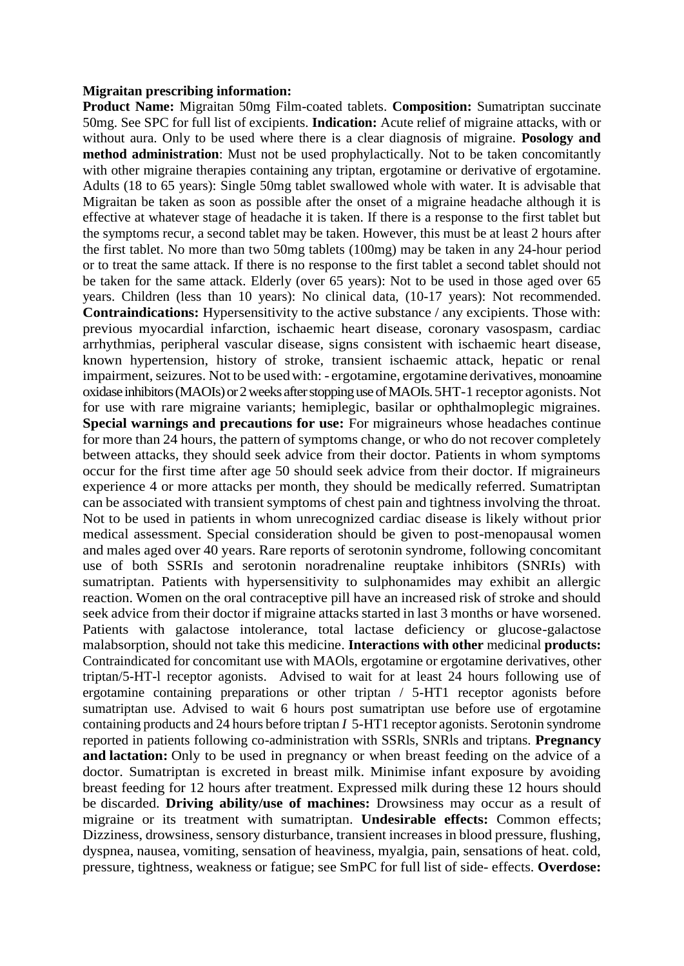## **Migraitan prescribing information:**

**Product Name:** Migraitan 50mg Film-coated tablets. **Composition:** Sumatriptan succinate 50mg. See SPC for full list of excipients. **Indication:** Acute relief of migraine attacks, with or without aura. Only to be used where there is a clear diagnosis of migraine. **Posology and method administration**: Must not be used prophylactically. Not to be taken concomitantly with other migraine therapies containing any triptan, ergotamine or derivative of ergotamine. Adults (18 to 65 years): Single 50mg tablet swallowed whole with water. It is advisable that Migraitan be taken as soon as possible after the onset of a migraine headache although it is effective at whatever stage of headache it is taken. If there is a response to the first tablet but the symptoms recur, a second tablet may be taken. However, this must be at least 2 hours after the first tablet. No more than two 50mg tablets (100mg) may be taken in any 24-hour period or to treat the same attack. If there is no response to the first tablet a second tablet should not be taken for the same attack. Elderly (over 65 years): Not to be used in those aged over 65 years. Children (less than 10 years): No clinical data, (10-17 years): Not recommended. **Contraindications:** Hypersensitivity to the active substance / any excipients. Those with: previous myocardial infarction, ischaemic heart disease, coronary vasospasm, cardiac arrhythmias, peripheral vascular disease, signs consistent with ischaemic heart disease, known hypertension, history of stroke, transient ischaemic attack, hepatic or renal impairment, seizures. Not to be usedwith: - ergotamine, ergotamine derivatives, monoamine oxidase inhibitors (MAOIs) or 2weeks after stopping use of MAOIs. 5HT-1 receptor agonists. Not for use with rare migraine variants; hemiplegic, basilar or ophthalmoplegic migraines. **Special warnings and precautions for use:** For migraineurs whose headaches continue for more than 24 hours, the pattern of symptoms change, or who do not recover completely between attacks, they should seek advice from their doctor. Patients in whom symptoms occur for the first time after age 50 should seek advice from their doctor. If migraineurs experience 4 or more attacks per month, they should be medically referred. Sumatriptan can be associated with transient symptoms of chest pain and tightness involving the throat. Not to be used in patients in whom unrecognized cardiac disease is likely without prior medical assessment. Special consideration should be given to post-menopausal women and males aged over 40 years. Rare reports of serotonin syndrome, following concomitant use of both SSRIs and serotonin noradrenaline reuptake inhibitors (SNRIs) with sumatriptan. Patients with hypersensitivity to sulphonamides may exhibit an allergic reaction. Women on the oral contraceptive pill have an increased risk of stroke and should seek advice from their doctor if migraine attacks started in last 3 months or have worsened. Patients with galactose intolerance, total lactase deficiency or glucose-galactose malabsorption, should not take this medicine. **Interactions with other** medicinal **products:**  Contraindicated for concomitant use with MAOls, ergotamine or ergotamine derivatives, other triptan/5-HT-l receptor agonists. Advised to wait for at least 24 hours following use of ergotamine containing preparations or other triptan / 5-HT1 receptor agonists before sumatriptan use. Advised to wait 6 hours post sumatriptan use before use of ergotamine containing products and 24 hours before triptan *I* 5-HT1 receptor agonists. Serotonin syndrome reported in patients following co-administration with SSRls, SNRls and triptans. **Pregnancy and lactation:** Only to be used in pregnancy or when breast feeding on the advice of a doctor. Sumatriptan is excreted in breast milk. Minimise infant exposure by avoiding breast feeding for 12 hours after treatment. Expressed milk during these 12 hours should be discarded. **Driving ability/use of machines:** Drowsiness may occur as a result of migraine or its treatment with sumatriptan. **Undesirable effects:** Common effects; Dizziness, drowsiness, sensory disturbance, transient increases in blood pressure, flushing, dyspnea, nausea, vomiting, sensation of heaviness, myalgia, pain, sensations of heat. cold, pressure, tightness, weakness or fatigue; see SmPC for full list of side- effects. **Overdose:**